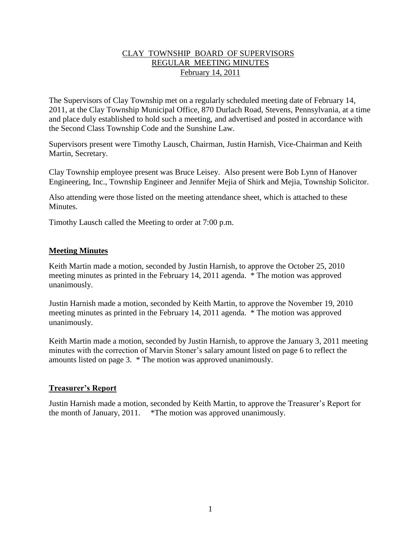# CLAY TOWNSHIP BOARD OF SUPERVISORS REGULAR MEETING MINUTES February 14, 2011

The Supervisors of Clay Township met on a regularly scheduled meeting date of February 14, 2011, at the Clay Township Municipal Office, 870 Durlach Road, Stevens, Pennsylvania, at a time and place duly established to hold such a meeting, and advertised and posted in accordance with the Second Class Township Code and the Sunshine Law.

Supervisors present were Timothy Lausch, Chairman, Justin Harnish, Vice-Chairman and Keith Martin, Secretary.

Clay Township employee present was Bruce Leisey. Also present were Bob Lynn of Hanover Engineering, Inc., Township Engineer and Jennifer Mejia of Shirk and Mejia, Township Solicitor.

Also attending were those listed on the meeting attendance sheet, which is attached to these Minutes.

Timothy Lausch called the Meeting to order at 7:00 p.m.

# **Meeting Minutes**

Keith Martin made a motion, seconded by Justin Harnish, to approve the October 25, 2010 meeting minutes as printed in the February 14, 2011 agenda. \* The motion was approved unanimously.

Justin Harnish made a motion, seconded by Keith Martin, to approve the November 19, 2010 meeting minutes as printed in the February 14, 2011 agenda. \* The motion was approved unanimously.

Keith Martin made a motion, seconded by Justin Harnish, to approve the January 3, 2011 meeting minutes with the correction of Marvin Stoner's salary amount listed on page 6 to reflect the amounts listed on page 3. \* The motion was approved unanimously.

### **Treasurer's Report**

Justin Harnish made a motion, seconded by Keith Martin, to approve the Treasurer's Report for the month of January, 2011. \*The motion was approved unanimously.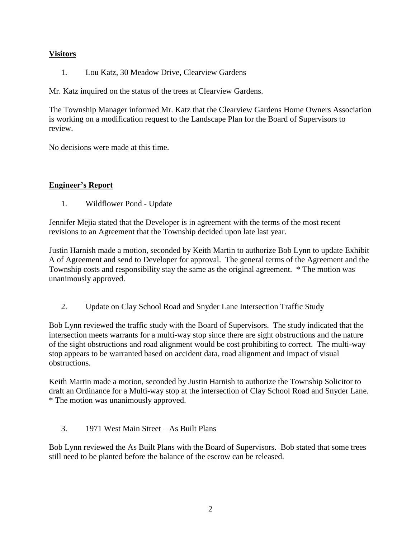# **Visitors**

1. Lou Katz, 30 Meadow Drive, Clearview Gardens

Mr. Katz inquired on the status of the trees at Clearview Gardens.

The Township Manager informed Mr. Katz that the Clearview Gardens Home Owners Association is working on a modification request to the Landscape Plan for the Board of Supervisors to review.

No decisions were made at this time.

# **Engineer's Report**

1. Wildflower Pond - Update

Jennifer Mejia stated that the Developer is in agreement with the terms of the most recent revisions to an Agreement that the Township decided upon late last year.

Justin Harnish made a motion, seconded by Keith Martin to authorize Bob Lynn to update Exhibit A of Agreement and send to Developer for approval. The general terms of the Agreement and the Township costs and responsibility stay the same as the original agreement. \* The motion was unanimously approved.

2. Update on Clay School Road and Snyder Lane Intersection Traffic Study

Bob Lynn reviewed the traffic study with the Board of Supervisors. The study indicated that the intersection meets warrants for a multi-way stop since there are sight obstructions and the nature of the sight obstructions and road alignment would be cost prohibiting to correct. The multi-way stop appears to be warranted based on accident data, road alignment and impact of visual obstructions.

Keith Martin made a motion, seconded by Justin Harnish to authorize the Township Solicitor to draft an Ordinance for a Multi-way stop at the intersection of Clay School Road and Snyder Lane. \* The motion was unanimously approved.

3. 1971 West Main Street – As Built Plans

Bob Lynn reviewed the As Built Plans with the Board of Supervisors. Bob stated that some trees still need to be planted before the balance of the escrow can be released.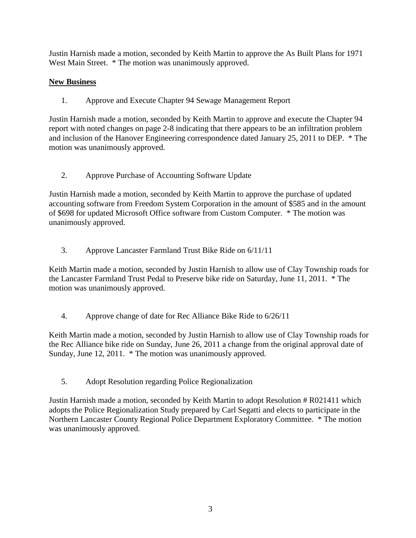Justin Harnish made a motion, seconded by Keith Martin to approve the As Built Plans for 1971 West Main Street.  $*$  The motion was unanimously approved.

# **New Business**

1. Approve and Execute Chapter 94 Sewage Management Report

Justin Harnish made a motion, seconded by Keith Martin to approve and execute the Chapter 94 report with noted changes on page 2-8 indicating that there appears to be an infiltration problem and inclusion of the Hanover Engineering correspondence dated January 25, 2011 to DEP. \* The motion was unanimously approved.

2. Approve Purchase of Accounting Software Update

Justin Harnish made a motion, seconded by Keith Martin to approve the purchase of updated accounting software from Freedom System Corporation in the amount of \$585 and in the amount of \$698 for updated Microsoft Office software from Custom Computer. \* The motion was unanimously approved.

3. Approve Lancaster Farmland Trust Bike Ride on 6/11/11

Keith Martin made a motion, seconded by Justin Harnish to allow use of Clay Township roads for the Lancaster Farmland Trust Pedal to Preserve bike ride on Saturday, June 11, 2011. \* The motion was unanimously approved.

4. Approve change of date for Rec Alliance Bike Ride to 6/26/11

Keith Martin made a motion, seconded by Justin Harnish to allow use of Clay Township roads for the Rec Alliance bike ride on Sunday, June 26, 2011 a change from the original approval date of Sunday, June 12, 2011. \* The motion was unanimously approved.

5. Adopt Resolution regarding Police Regionalization

Justin Harnish made a motion, seconded by Keith Martin to adopt Resolution # R021411 which adopts the Police Regionalization Study prepared by Carl Segatti and elects to participate in the Northern Lancaster County Regional Police Department Exploratory Committee. \* The motion was unanimously approved.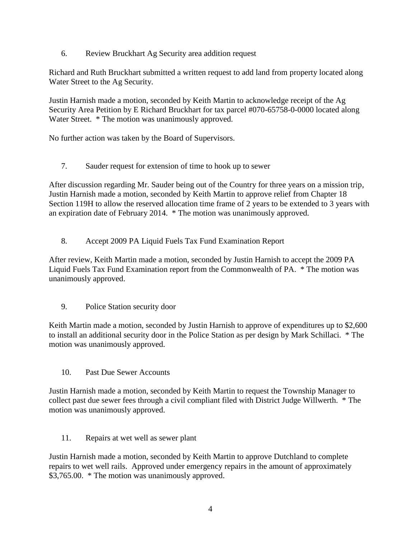6. Review Bruckhart Ag Security area addition request

Richard and Ruth Bruckhart submitted a written request to add land from property located along Water Street to the Ag Security.

Justin Harnish made a motion, seconded by Keith Martin to acknowledge receipt of the Ag Security Area Petition by E Richard Bruckhart for tax parcel #070-65758-0-0000 located along Water Street.  $*$  The motion was unanimously approved.

No further action was taken by the Board of Supervisors.

7. Sauder request for extension of time to hook up to sewer

After discussion regarding Mr. Sauder being out of the Country for three years on a mission trip, Justin Harnish made a motion, seconded by Keith Martin to approve relief from Chapter 18 Section 119H to allow the reserved allocation time frame of 2 years to be extended to 3 years with an expiration date of February 2014. \* The motion was unanimously approved.

8. Accept 2009 PA Liquid Fuels Tax Fund Examination Report

After review, Keith Martin made a motion, seconded by Justin Harnish to accept the 2009 PA Liquid Fuels Tax Fund Examination report from the Commonwealth of PA. \* The motion was unanimously approved.

9. Police Station security door

Keith Martin made a motion, seconded by Justin Harnish to approve of expenditures up to \$2,600 to install an additional security door in the Police Station as per design by Mark Schillaci. \* The motion was unanimously approved.

10. Past Due Sewer Accounts

Justin Harnish made a motion, seconded by Keith Martin to request the Township Manager to collect past due sewer fees through a civil compliant filed with District Judge Willwerth. \* The motion was unanimously approved.

11. Repairs at wet well as sewer plant

Justin Harnish made a motion, seconded by Keith Martin to approve Dutchland to complete repairs to wet well rails. Approved under emergency repairs in the amount of approximately \$3,765.00. \* The motion was unanimously approved.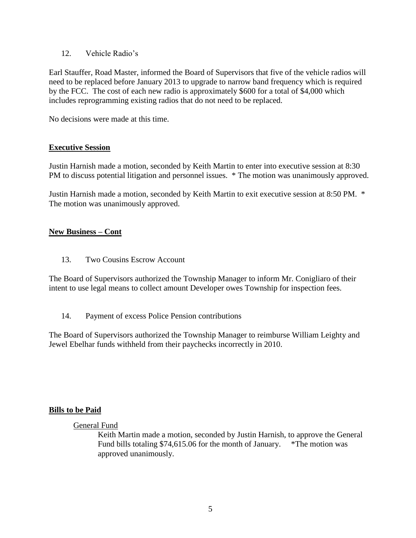12. Vehicle Radio's

Earl Stauffer, Road Master, informed the Board of Supervisors that five of the vehicle radios will need to be replaced before January 2013 to upgrade to narrow band frequency which is required by the FCC. The cost of each new radio is approximately \$600 for a total of \$4,000 which includes reprogramming existing radios that do not need to be replaced.

No decisions were made at this time.

# **Executive Session**

Justin Harnish made a motion, seconded by Keith Martin to enter into executive session at 8:30 PM to discuss potential litigation and personnel issues.  $*$  The motion was unanimously approved.

Justin Harnish made a motion, seconded by Keith Martin to exit executive session at 8:50 PM. \* The motion was unanimously approved.

# **New Business – Cont**

13. Two Cousins Escrow Account

The Board of Supervisors authorized the Township Manager to inform Mr. Conigliaro of their intent to use legal means to collect amount Developer owes Township for inspection fees.

14. Payment of excess Police Pension contributions

The Board of Supervisors authorized the Township Manager to reimburse William Leighty and Jewel Ebelhar funds withheld from their paychecks incorrectly in 2010.

### **Bills to be Paid**

General Fund

Keith Martin made a motion, seconded by Justin Harnish, to approve the General Fund bills totaling \$74,615.06 for the month of January. \*The motion was approved unanimously.